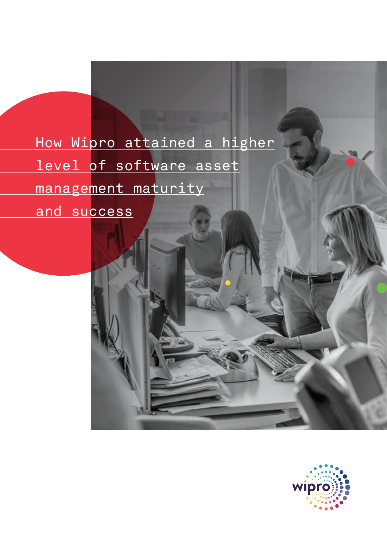# How Wipro attained a higher level of software asset management maturity

and su<mark>ccess</mark>

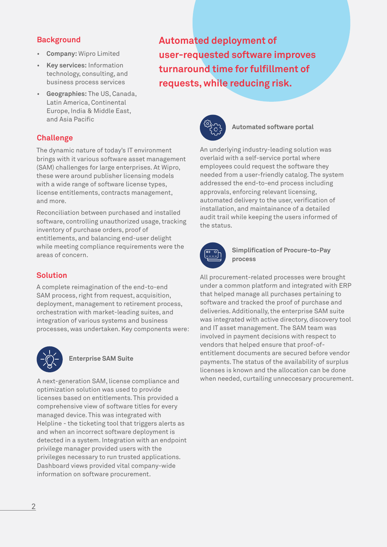# **Background**

- **Company:** Wipro Limited
- **Key services:** Information technology, consulting, and business process services
- **Geographies:** The US, Canada, Latin America, Continental Europe, India & Middle East, and Asia Pacific

# **Challenge**

The dynamic nature of today's IT environment brings with it various software asset management (SAM) challenges for large enterprises. At Wipro, these were around publisher licensing models with a wide range of software license types, license entitlements, contracts management, and more.

Reconciliation between purchased and installed software, controlling unauthorized usage, tracking inventory of purchase orders, proof of entitlements, and balancing end-user delight while meeting compliance requirements were the areas of concern.

# **Solution**

A complete reimagination of the end-to-end SAM process, right from request, acquisition, deployment, management to retirement process, orchestration with market-leading suites, and integration of various systems and business processes, was undertaken. Key components were:



#### **Enterprise SAM Suite**

A next-generation SAM, license compliance and optimization solution was used to provide licenses based on entitlements. This provided a comprehensive view of software titles for every managed device. This was integrated with Helpline - the ticketing tool that triggers alerts as and when an incorrect software deployment is detected in a system. Integration with an endpoint privilege manager provided users with the privileges necessary to run trusted applications. Dashboard views provided vital company-wide information on software procurement.

**Automated deployment of user-requested software improves turnaround time for fulfillment of requests, while reducing risk.**



### **Automated software portal**

An underlying industry-leading solution was overlaid with a self-service portal where employees could request the software they needed from a user-friendly catalog. The system addressed the end-to-end process including approvals, enforcing relevant licensing, automated delivery to the user, verification of installation, and maintainance of a detailed audit trail while keeping the users informed of the status.



**Simplification of Procure-to-Pay process**

All procurement-related processes were brought under a common platform and integrated with ERP that helped manage all purchases pertaining to software and tracked the proof of purchase and deliveries. Additionally, the enterprise SAM suite was integrated with active directory, discovery tool and IT asset management. The SAM team was involved in payment decisions with respect to vendors that helped ensure that proof-ofentitlement documents are secured before vendor payments. The status of the availability of surplus licenses is known and the allocation can be done when needed, curtailing unneccesary procurement.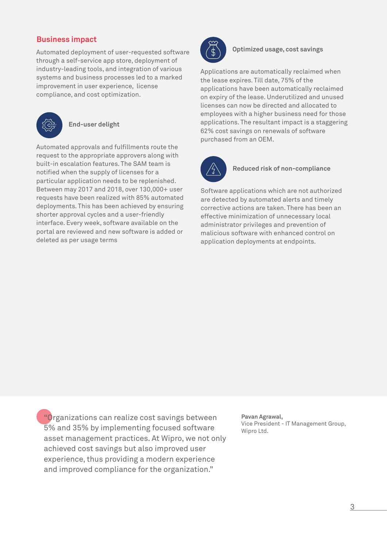# **Business impact**

Automated deployment of user-requested software through a self-service app store, deployment of industry-leading tools, and integration of various systems and business processes led to a marked improvement in user experience, license compliance, and cost optimization.



#### **End-user delight**

Automated approvals and fulfillments route the request to the appropriate approvers along with built-in escalation features. The SAM team is notified when the supply of licenses for a particular application needs to be replenished. Between may 2017 and 2018, over 130,000+ user requests have been realized with 85% automated deployments. This has been achieved by ensuring shorter approval cycles and a user-friendly interface. Every week, software available on the portal are reviewed and new software is added or deleted as per usage terms



**Optimized usage, cost savings**

Applications are automatically reclaimed when the lease expires. Till date, 75% of the applications have been automatically reclaimed on expiry of the lease. Underutilized and unused licenses can now be directed and allocated to employees with a higher business need for those applications. The resultant impact is a staggering 62% cost savings on renewals of software purchased from an OEM.



### **Reduced risk of non-compliance**

Software applications which are not authorized are detected by automated alerts and timely corrective actions are taken. There has been an effective minimization of unnecessary local administrator privileges and prevention of malicious software with enhanced control on application deployments at endpoints.

"Organizations can realize cost savings between 5% and 35% by implementing focused software asset management practices. At Wipro, we not only achieved cost savings but also improved user experience, thus providing a modern experience and improved compliance for the organization."

**Pavan Agrawal,**  Vice President - IT Management Group, Wipro Ltd.